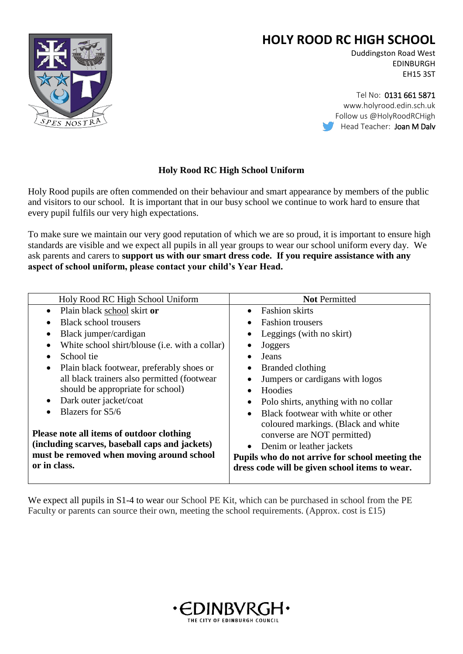



Tel No: 0131 661 5871 www.holyrood.edin.sch.uk Follow us @HolyRoodRCHigh Head Teacher: Joan M Daly

## **Holy Rood RC High School Uniform**

Holy Rood pupils are often commended on their behaviour and smart appearance by members of the public and visitors to our school. It is important that in our busy school we continue to work hard to ensure that every pupil fulfils our very high expectations.

To make sure we maintain our very good reputation of which we are so proud, it is important to ensure high standards are visible and we expect all pupils in all year groups to wear our school uniform every day. We ask parents and carers to **support us with our smart dress code. If you require assistance with any aspect of school uniform, please contact your child's Year Head.**

| Holy Rood RC High School Uniform                       | <b>Not Permitted</b>                            |
|--------------------------------------------------------|-------------------------------------------------|
| Plain black school skirt or<br>$\bullet$               | <b>Fashion skirts</b>                           |
| <b>Black school trousers</b>                           | <b>Fashion trousers</b>                         |
| Black jumper/cardigan                                  | Leggings (with no skirt)                        |
| White school shirt/blouse (i.e. with a collar)         | Joggers                                         |
| School tie                                             | Jeans                                           |
| Plain black footwear, preferably shoes or<br>$\bullet$ | Branded clothing                                |
| all black trainers also permitted (footwear            | Jumpers or cardigans with logos                 |
| should be appropriate for school)                      | Hoodies                                         |
| Dark outer jacket/coat                                 | Polo shirts, anything with no collar            |
| Blazers for S5/6                                       | Black footwear with white or other<br>$\bullet$ |
|                                                        | coloured markings. (Black and white             |
| Please note all items of outdoor clothing              | converse are NOT permitted)                     |
| (including scarves, baseball caps and jackets)         | Denim or leather jackets                        |
| must be removed when moving around school              | Pupils who do not arrive for school meeting the |
| or in class.                                           | dress code will be given school items to wear.  |
|                                                        |                                                 |

We expect all pupils in S1-4 to wear our School PE Kit, which can be purchased in school from the PE Faculty or parents can source their own, meeting the school requirements. (Approx. cost is £15)